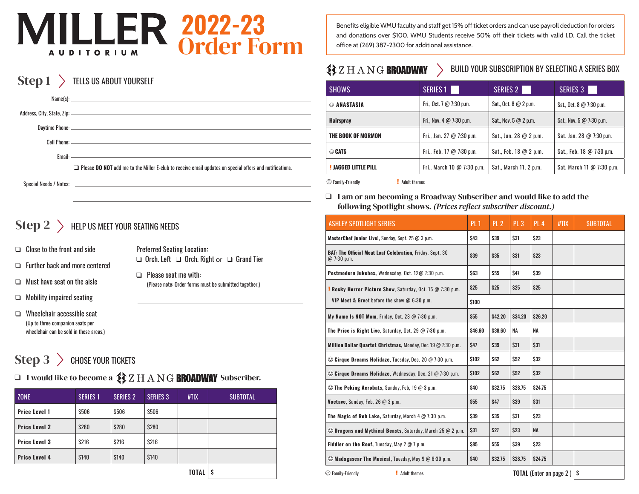# 2022-23 Order Form **AUDITORIUM**

#### $Step 1$  > TELLS US ABOUT YOURSELF

|                        | $\Box$ Please <b>DO NOT</b> add me to the Miller E-club to receive email updates on special offers and notifications. |
|------------------------|-----------------------------------------------------------------------------------------------------------------------|
| Special Needs / Notes: |                                                                                                                       |

### $\mathrm{Step\,2}\,\,> \,\,$  Help us meet your seating needs

- $\Box$  Close to the front and side
- $\Box$  Further back and more centered
- $\Box$  Must have seat on the aisle
- $\Box$  Mobility impaired seating
- $\Box$  Wheelchair accessible seat (Up to three companion seats per wheelchair can be sold in these areas.)

Preferred Seating Location:  $\Box$  Orch. Left  $\Box$  Orch. Right or  $\Box$  Grand Tier

 $\Box$  Please seat me with: (Please note: Order forms must be submitted together.)

 $Step 3 >$  Chose your Tickets

 $\Box$  I would like to become a  $\mathbf{\hat{3}}\mathbf{\hat{2}}$   $\boxtimes$   $\boxplus$   $\boxtimes$   $\boxtimes$   $\mathbf{BROADWAY}$  Subscriber.

| <b>ZONE</b>          | <b>SERIES 1</b> | <b>SERIES 2</b> | <b>SERIES 3</b> | HIIX | <b>SUBTOTAL</b> |
|----------------------|-----------------|-----------------|-----------------|------|-----------------|
| <b>Price Level 1</b> | \$506           | <b>S506</b>     | <b>S506</b>     |      |                 |
| <b>Price Level 2</b> | <b>S280</b>     | <b>S280</b>     | <b>S280</b>     |      |                 |
| <b>Price Level 3</b> | <b>S216</b>     | <b>S216</b>     | <b>S216</b>     |      |                 |
| <b>Price Level 4</b> | <b>S140</b>     | <b>S140</b>     | <b>S140</b>     |      |                 |
|                      | S               |                 |                 |      |                 |

Benefits eligible WMU faculty and staff get 15% off ticket orders and can use payroll deduction for orders and donations over \$100. WMU Students receive 50% off their tickets with valid I.D. Call the ticket office at (269) 387-2300 for additional assistance.

### $\sqrt[4]{2}$   $Z$   $H$   $A$   $N$   $G$   $BR0$   $A$   $D$   $M$   $N$

BUILD YOUR SUBSCRIPTION BY SELECTING A SERIES BOX

| SHOWS                       | SERIES 1                                     | SERIES 2               | <b>SERIES 3</b>           |  |
|-----------------------------|----------------------------------------------|------------------------|---------------------------|--|
| © ANASTASIA                 | Fri., Oct. 7 $@$ 7:30 p.m.                   | Sat., Oct. 8 @ 2 p.m.  | Sat., Oct. 8 @ 7:30 p.m.  |  |
| <b>Hairspray</b>            | Fri., Nov. $4 \text{ } @ 7:30 \text{ } p.m.$ | Sat., Nov. $5@2$ p.m.  | Sat., Nov. 5 @ 7:30 p.m.  |  |
| THE BOOK OF MORMON          | Fri., Jan. 27 @ 7:30 p.m.                    | Sat., Jan. 28 @ 2 p.m. | Sat. Jan. 28 @ 7:30 p.m.  |  |
| <b>© CATS</b>               | Fri., Feb. 17 $@$ 7:30 p.m.                  | Sat., Feb. 18 @ 2 p.m. | Sat., Feb. 18 @ 7:30 p.m. |  |
| <b>! JAGGED LITTLE PILL</b> | Fri., March 10 $@$ 7:30 p.m.                 | Sat., March 11, 2 p.m. | Sat. March 11 @ 7:30 p.m. |  |

 $\odot$  Family-Friendly **.** Adult themes

 $\Box$  I am or am becoming a Broadway Subscriber and would like to add the following Spotlight shows. *(Prices reflect subscriber discount.)*

| ASHLEY SPOTLIGHT SERIES                                                         | PL1         | PL <sub>2</sub> | PL3            | <b>PL 4</b>                    | #TIX | <b>SUBTOTAL</b> |
|---------------------------------------------------------------------------------|-------------|-----------------|----------------|--------------------------------|------|-----------------|
| MasterChef Junior Live!, Sunday, Sept. 25 @ 3 p.m.                              | \$43        | \$39            | \$31           | \$23                           |      |                 |
| <b>BAT: The Official Meat Loaf Celebration, Friday, Sept. 30</b><br>@ 7:30 p.m. | \$39        | \$35            | \$31           | \$23                           |      |                 |
| Postmodern Jukebox, Wednesday, Oct. 12@ 7:30 p.m.                               | <b>S63</b>  | <b>S55</b>      | <b>\$47</b>    | \$39                           |      |                 |
| <b>Rocky Horror Picture Show, Saturday, Oct. 15 @ 7:30 p.m.</b>                 | \$25        | \$25            | \$25           | \$25                           |      |                 |
| VIP Meet & Greet before the show @ 6:30 p.m.                                    | \$100       |                 |                |                                |      |                 |
| My Name Is NOT Mom, Friday, Oct. 28 $@$ 7:30 p.m.                               | <b>S55</b>  | <b>\$42.20</b>  | \$34.20        | \$26.20                        |      |                 |
| The Price is Right Live, Saturday, Oct. 29 @ 7:30 p.m.                          |             | \$38.60         | <b>NA</b>      | <b>NA</b>                      |      |                 |
| Million Dollar Quartet Christmas, Monday, Dec 19 @ 7:30 p.m.                    |             | \$39            | \$31           | \$31                           |      |                 |
| $\odot$ Cirque Dreams Holidaze, Tuesday, Dec. 20 $\oslash$ 7:30 p.m.            | <b>S102</b> | <b>S62</b>      | <b>S52</b>     | \$32                           |      |                 |
| $\odot$ Cirque Dreams Holidaze, Wednesday, Dec. 21 $\omega$ 7:30 p.m.           |             | <b>S62</b>      | <b>S52</b>     | \$32                           |      |                 |
| © The Peking Acrobats, Sunday, Feb, 19 @ 3 p.m.                                 | \$40        | <b>\$32.75</b>  | <b>\$28.75</b> | \$24.75                        |      |                 |
| Voctave, Sunday, Feb, 26 @ 3 p.m.                                               | <b>S55</b>  | <b>\$47</b>     | \$39           | \$31                           |      |                 |
| The Magic of Rob Lake, Saturday, March 4 @ 7:30 p.m.                            | \$39        | <b>S35</b>      | \$31           | \$23                           |      |                 |
| $\odot$ Dragons and Mythical Beasts, Saturday, March 25 $\oslash$ 2 p.m.        |             | \$27            | \$23           | <b>NA</b>                      |      |                 |
| Fiddler on the Roof, Tuesday, May 2 @ 7 p.m.                                    | <b>S85</b>  | \$55            | \$39           | \$23                           |      |                 |
| $\odot$ Madagascar The Musical, Tuesday, May 9 $\omega$ 6:30 p.m.               | <b>\$40</b> | \$32.75         | <b>\$28.75</b> | <b>\$24.75</b>                 |      |                 |
| Adult themes<br>$\circledcirc$ Family-Friendly                                  |             |                 |                | <b>TOTAL</b> (Enter on page 2) |      | S               |